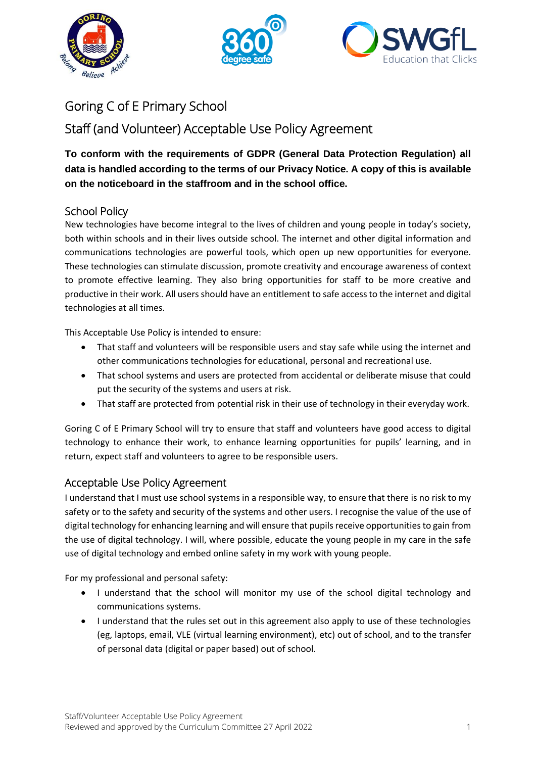





# Goring C of E Primary School

## Staff (and Volunteer) Acceptable Use Policy Agreement

### **To conform with the requirements of GDPR (General Data Protection Regulation) all data is handled according to the terms of our Privacy Notice. A copy of this is available on the noticeboard in the staffroom and in the school office.**

### School Policy

New technologies have become integral to the lives of children and young people in today's society, both within schools and in their lives outside school. The internet and other digital information and communications technologies are powerful tools, which open up new opportunities for everyone. These technologies can stimulate discussion, promote creativity and encourage awareness of context to promote effective learning. They also bring opportunities for staff to be more creative and productive in their work. All users should have an entitlement to safe access to the internet and digital technologies at all times.

This Acceptable Use Policy is intended to ensure:

- That staff and volunteers will be responsible users and stay safe while using the internet and other communications technologies for educational, personal and recreational use.
- That school systems and users are protected from accidental or deliberate misuse that could put the security of the systems and users at risk.
- That staff are protected from potential risk in their use of technology in their everyday work.

Goring C of E Primary School will try to ensure that staff and volunteers have good access to digital technology to enhance their work, to enhance learning opportunities for pupils' learning, and in return, expect staff and volunteers to agree to be responsible users.

#### Acceptable Use Policy Agreement

I understand that I must use school systems in a responsible way, to ensure that there is no risk to my safety or to the safety and security of the systems and other users. I recognise the value of the use of digital technology for enhancing learning and will ensure that pupils receive opportunities to gain from the use of digital technology. I will, where possible, educate the young people in my care in the safe use of digital technology and embed online safety in my work with young people.

For my professional and personal safety:

- I understand that the school will monitor my use of the school digital technology and communications systems.
- I understand that the rules set out in this agreement also apply to use of these technologies (eg, laptops, email, VLE (virtual learning environment), etc) out of school, and to the transfer of personal data (digital or paper based) out of school.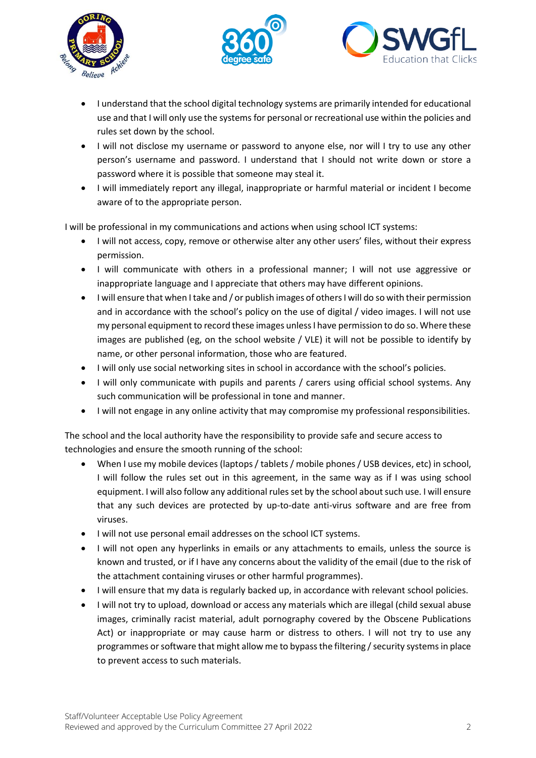





- I understand that the school digital technology systems are primarily intended for educational use and that I will only use the systems for personal or recreational use within the policies and rules set down by the school.
- I will not disclose my username or password to anyone else, nor will I try to use any other person's username and password. I understand that I should not write down or store a password where it is possible that someone may steal it.
- I will immediately report any illegal, inappropriate or harmful material or incident I become aware of to the appropriate person.

I will be professional in my communications and actions when using school ICT systems:

- I will not access, copy, remove or otherwise alter any other users' files, without their express permission.
- I will communicate with others in a professional manner; I will not use aggressive or inappropriate language and I appreciate that others may have different opinions.
- I will ensure that when I take and / or publish images of others I will do so with their permission and in accordance with the school's policy on the use of digital / video images. I will not use my personal equipment to record these images unless I have permission to do so. Where these images are published (eg, on the school website / VLE) it will not be possible to identify by name, or other personal information, those who are featured.
- I will only use social networking sites in school in accordance with the school's policies.
- I will only communicate with pupils and parents / carers using official school systems. Any such communication will be professional in tone and manner.
- I will not engage in any online activity that may compromise my professional responsibilities.

The school and the local authority have the responsibility to provide safe and secure access to technologies and ensure the smooth running of the school:

- When I use my mobile devices (laptops / tablets / mobile phones / USB devices, etc) in school, I will follow the rules set out in this agreement, in the same way as if I was using school equipment. I will also follow any additional rules set by the school about such use. I will ensure that any such devices are protected by up-to-date anti-virus software and are free from viruses.
- I will not use personal email addresses on the school ICT systems.
- I will not open any hyperlinks in emails or any attachments to emails, unless the source is known and trusted, or if I have any concerns about the validity of the email (due to the risk of the attachment containing viruses or other harmful programmes).
- I will ensure that my data is regularly backed up, in accordance with relevant school policies.
- I will not try to upload, download or access any materials which are illegal (child sexual abuse images, criminally racist material, adult pornography covered by the Obscene Publications Act) or inappropriate or may cause harm or distress to others. I will not try to use any programmes or software that might allow me to bypass the filtering / security systems in place to prevent access to such materials.